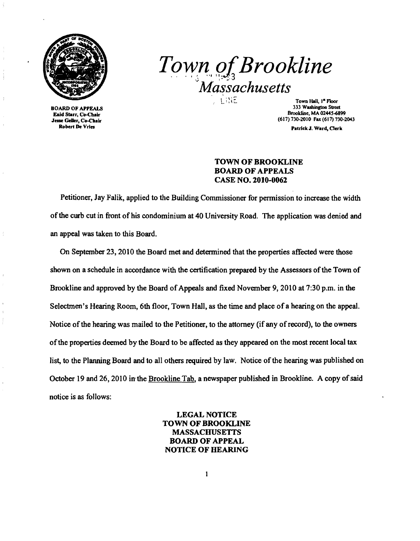

Eaid Starr, Co-Chair<br>Jesse Geller, Co-Chair BOARD OF APPEALS Robert De Vries

 $Town$ <sub>2,3</sub>*Brookline Massachusetts* 

Town Hall,  $I^{\#}$  Floor 333 Washingtoa Street Brookline, MA 0244S-6899 (617) 730-2010 Fax (617) 730-2043

Patrick J. Ward, Oerk

## TOWN OF BROOKLINE BOARD OF APPEALS CASE NO. 2010-0062

Petitioner, Jay Falik, applied to the Building Commissioner for permission to increase the width ofthe curb cut in front of his condominium at 40 University Road. The application was denied and an appeal was taken to this Board.

On September 23,2010 the Board met and determined that the properties affected were those shown on a schedule in accordance with the certification prepared by the Assessors of the Town of Brookline and approved by the Board of Appeals and fixed November 9, 2010 at 7:30 p.m. in the Selectmen's Hearing Room, 6th floor, Town Hall, as the time and place of a hearing on the appeal. Notice of the hearing was mailed to the Petitioner, to the attorney (if any of record), to the owners ofthe properties deemed by the Board to be affected as they appeared on the most recent local tax list, to the Planning Board and to all others required by law. Notice of the hearing was published on October 19 and 26, 2010 in the Brookline Tab, a newspaper published in Brookline. A copy of said notice is as follows:

> LEGAL NOTICE TOWN OF BROOKLINE MASSACHUSETTS BOARD OF APPEAL NOTICE OF HEARING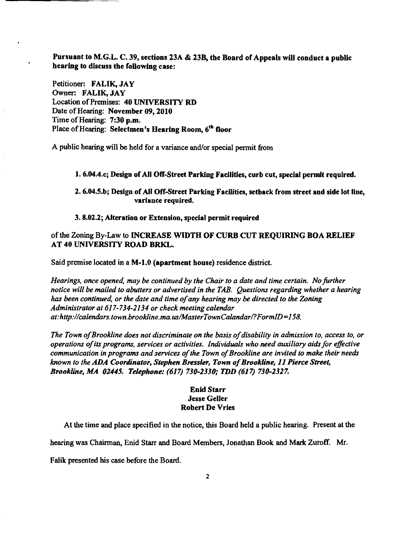Pursuant to M.G.L. C. 39, sections 23A & 23B, the Board of Appeals will conduct a public hearing to discuss the following case:

Petitioner: FALIK, JAY Owner: FALIK, JAY Location of Premises: 40 UNIVERSITY RD Date of Hearing: November 09, 2010 Time of Hearing: 7:30 p.m. Place of Hearing: Selectmen's Hearing Room, 6<sup>th</sup> floor

 $\cdot$ 

A public hearing will be held for a variance and/or special pennit from

1. 6.04.4.c; Design of All Off-Street Parking Facilities, curb cut, special permit required.

2. 6.04.5.b; Design of All Off-Street Parking Facilities, setback from street and side lot line, variance required.

## 3.8.02.2; Alteration or Extension, special permit required

## of the Zoning By-Law to INCREASE WIDTH OF CURB CUT REQUIRING BOA RELIEF AT 40 UNIVERSITY ROAD BRKL.

Said premise located in a M-l.0 (apartment house) residence district.

*Hearings, once opened, may be continued by the Chair to a date and time certain. No further notice will be mailed to abutters or advertised in the TAB. Questions regarding whether a hearing has been continued, or the date and time ofany hearing may be directed to the Zoning Administrator at* 617-734-2134 *or check meeting calendar at:http://calendars.town.brookline.ma.us/MasterTownCalandar/?FormID=158.* 

*The Town ofBrookline does not discriminate* on *the basis ofdisability in admission to. access to, or operations ofits programs, services or activities. Individuals who need auxiliary aidsfor effictive communication in programs and services ofthe Town ofBrookline are invited to make their needs known to the ADA Coordinator, Stephen Bressler, Town ofBrookUne,* 11 *Pierce Street, Brookline, MA 01445. Telephone:* (617) *730-2330; TDD* (617) *730-2327.* 

## Enid Starr Jesse Geller Robert De Vries

At the time and place specified in the notice, this Board held a public hearing. Present at the

hearing was Chairman, Enid Starr and Board Members, Jonathan Book and Mark Zuroff. Mr.

Falik presented his case before the Board.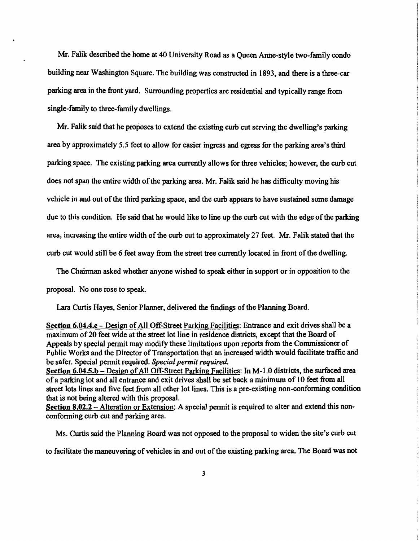Mr. Falik described the home at 40 University Road *as* a Queen Anne-style two-family condo building near Washington Square. The building *was* constructed in 1893, and there is a three-car parking area in the front yard. Surrounding properties are residential and typically range from single-family to three-family dwellings.

Mr. Falik said that he proposes to extend the existing curb cut serving the dwelling's parking area by approximately 5.5 feet to allow for easier ingress and egress for the parking area's third parking space. The existing parking area currently allows for three vehicles; however, the curb cut does not span the entire width of the parking area. Mr. Falik said he has difficulty moving his vehicle in and out of the third parking space, and the curb appears to have sustained some damage due to this condition. He said that he would like to line up the curb cut with the edge of the parking area, increasing the entire width of the curb cut to approximately 27 feet. Mr. Falik stated that the curb cut would still be 6 feet away from the street tree currently located in front of the dwelling.

The Chairman asked whether anyone wished to speak either in support or in opposition to the proposal. No one rose to speak.

Lara Curtis Hayes, Senior Planner, delivered the findings of the Planning Board.

Section 6.04.4.c – Design of All Off-Street Parking Facilities: Entrance and exit drives shall be a maximum of 20 feet wide at the street lot line in residence districts, except that the Board of Appeals by special pennit may modify these limitations upon reports from the Commissioner of Public Works and the Director of Transportation that an increased width would facilitate traffic and be safer. Special permit required. *Special permit required.* 

Section 6.04.5.b – Design of All Off-Street Parking Facilities: In M-1.0 districts, the surfaced area of a parking lot and all entrance and exit drives shall be set back a minimum of 10 feet from all street lots lines and five feet from all other lot lines. This is a pre-existing non-conforming condition that is not being altered with this proposal.

Section 8.02.2 - Alteration or Extension: A special permit is required to alter and extend this nonconforming curb cut and parking area.

Ms. Curtis said the Planning Board *was* not opposed to the proposal to widen the site's curb cut to facilitate the maneuvering of vehicles in and out of the existing parking area. The Board was not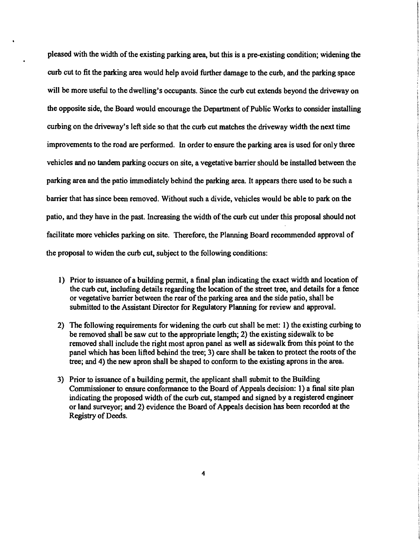pleased with the width of the existing parking area, but this is a pre-existing condition; widening the curb cut to fit the parking area would help avoid further damage to the curb, and the parking space will be more useful to the dwelling's occupants. Since the curb cut extends beyond the driveway on the opposite side, the Board would encourage the Department of Public Works to consider installing curbing on the driveway's left side so that the curb cut matches the driveway width the next time improvements to the road are performed. In order to ensure the parking area is used for only three vehicles and no tandem parking occurs on site, a vegetative barrier should be installed between the parking area and the patio immediately behind the parking area. It appears there used to be such a barrier that has since been removed. Without such a divide, vehicles would be able to park on the patio, and they have in the past. Increasing the width of the curb cut under this proposal should not facilitate more vehicles parking on site. Therefore, the Planning Board recommended approval of the proposal to widen the curb cut, subject to the following conditions:

- 1) Prior to issuance of a building permit, a final plan indicating the exact width and location of the curb cut, including details regarding the location of the street tree, and details for a fence or vegetative barrier between the rear of the parking area and the side patio, shall be submitted to the Assistant Director for Regulatory Planning for review and approval.
- 2) The following requirements for widening the curb cut shall be met: 1) the existing curbing to be removed shall be saw cut to the appropriate length; 2) the existing sidewalk to be removed shall include the right most apron panel as well as sidewalk from this point to the panel which has been lifted behind the tree; 3) care shall be taken to protect the roots of the tree; and 4) the new apron shall be shaped to conform to the existing aprons in the area.
- 3) Prior to issuance of a building permit, the applicant shall submit to the Building Commissioner to ensure conformance to the Board of Appeals decision: 1) a final site plan indicating the proposed width of the curb cut, stamped and signed by a registered engineer or land surveyor; and 2) evidence the Board of Appeals decision has been recorded at the Registry of Deeds.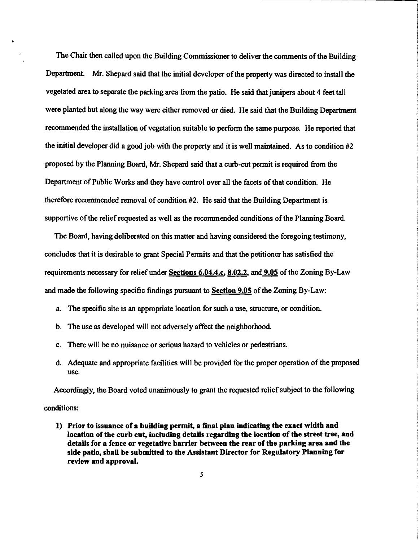The Chair then called upon the Building Commissioner to deliver the comments of the Building Department. Mr. Shepard said that the initial developer of the property was directed to install the vegetated area to separate the parking area from the patio. He said that junipers about 4 feet tall were planted but along the way were either removed or died. He said that the Building Department recommended the installation of vegetation suitable to perfonn the same purpose. He reported that the initial developer did a good job with the property and it is well maintained. As to condition #2 proposed by the Planning Board, Mr. Shepard said that a curb-cut pennit is required from the Department of Public Works and they have control over all the facets of that condition. He therefore recommended removal of condition #2. He said that the Building Department is supportive of the relief requested as well as the recommended conditions of the Planning Board.

The Board, having deliberated on this matter and having considered the foregoing testimony, concludes that it is desirable to grant Special Pennits and that the petitioner has satisfied the requirements necessary for relief under Sections 6.04.4.c, 8.02.2, and 9.05 of the Zoning By-Law and made the following specific findings pursuant to Section 9.05 of the Zoning By-Law:

- a. The specific site is an appropriate location for such a use, structure, or condition.
- b. The use as developed will not adversely affect the neighborhood.
- c. There will be no nuisance or serious hazard to vehicles or pedestrians.
- d. Adequate and appropriate facilities will be provided for the proper operation of the proposed use.

Accordingly, the Board voted unanimously to grant the requested relief subject to the following conditions:

1) Prior to issuance of a building permit, a final plan indicating the exact width and location of the curb cut, including details regarding the location of the street tree, and details for a fence or vegetative barrier between the rear of the parking area and the side patio, shall be submitted to the Assistant Director for Regulatory Planning for review and approval.

5